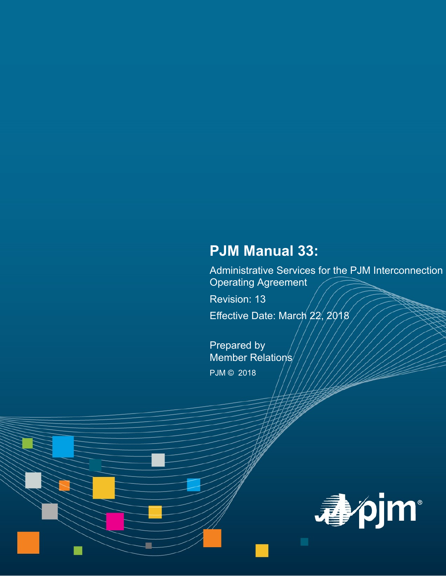# **PJM Manual 33:**

Administrative Services for the PJM Interconnection Operating Agreement

Revision: 13

Effective Date: March 22, 2018

Prepared by Member Relation's/ PJM © 2018

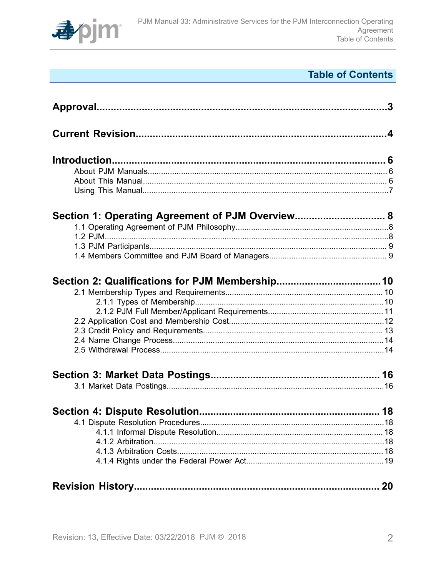

# **Table of Contents**

| Section 1: Operating Agreement of PJM Overview 8 |  |
|--------------------------------------------------|--|
|                                                  |  |
|                                                  |  |
|                                                  |  |
|                                                  |  |
|                                                  |  |
|                                                  |  |
|                                                  |  |
|                                                  |  |
|                                                  |  |
|                                                  |  |
|                                                  |  |
|                                                  |  |
|                                                  |  |
|                                                  |  |
|                                                  |  |
|                                                  |  |
|                                                  |  |
|                                                  |  |
|                                                  |  |
|                                                  |  |
|                                                  |  |
|                                                  |  |
|                                                  |  |
|                                                  |  |
|                                                  |  |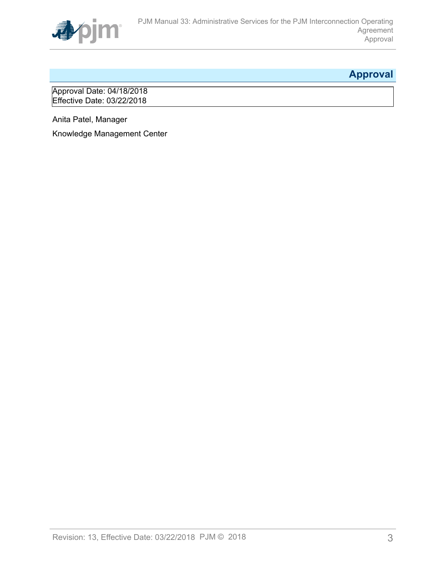

# <span id="page-2-0"></span>**Approval**

Approval Date: 04/18/2018 Effective Date: 03/22/2018

Anita Patel, Manager

Knowledge Management Center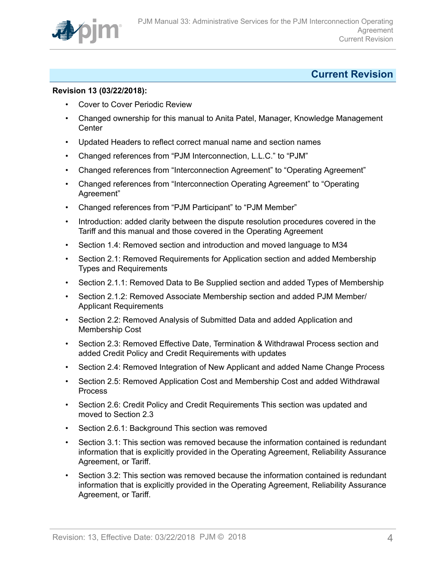

## <span id="page-3-0"></span>**Current Revision**

### **Revision 13 (03/22/2018):**

- Cover to Cover Periodic Review
- Changed ownership for this manual to Anita Patel, Manager, Knowledge Management **Center**
- Updated Headers to reflect correct manual name and section names
- Changed references from "PJM Interconnection, L.L.C." to "PJM"
- Changed references from "Interconnection Agreement" to "Operating Agreement"
- Changed references from "Interconnection Operating Agreement" to "Operating Agreement"
- Changed references from "PJM Participant" to "PJM Member"
- Introduction: added clarity between the dispute resolution procedures covered in the Tariff and this manual and those covered in the Operating Agreement
- Section 1.4: Removed section and introduction and moved language to M34
- Section 2.1: Removed Requirements for Application section and added Membership Types and Requirements
- Section 2.1.1: Removed Data to Be Supplied section and added Types of Membership
- Section 2.1.2: Removed Associate Membership section and added PJM Member/ Applicant Requirements
- Section 2.2: Removed Analysis of Submitted Data and added Application and Membership Cost
- Section 2.3: Removed Effective Date, Termination & Withdrawal Process section and added Credit Policy and Credit Requirements with updates
- Section 2.4: Removed Integration of New Applicant and added Name Change Process
- Section 2.5: Removed Application Cost and Membership Cost and added Withdrawal Process
- Section 2.6: Credit Policy and Credit Requirements This section was updated and moved to Section 2.3
- Section 2.6.1: Background This section was removed
- Section 3.1: This section was removed because the information contained is redundant information that is explicitly provided in the Operating Agreement, Reliability Assurance Agreement, or Tariff.
- Section 3.2: This section was removed because the information contained is redundant information that is explicitly provided in the Operating Agreement, Reliability Assurance Agreement, or Tariff.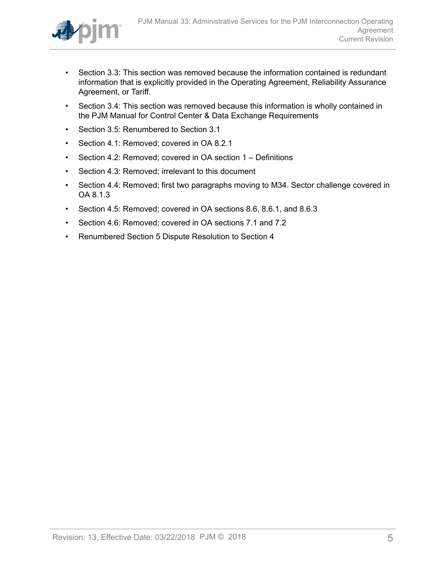

- Section 3.3: This section was removed because the information contained is redundant information that is explicitly provided in the Operating Agreement, Reliability Assurance Agreement, or Tariff.
- Section 3.4: This section was removed because this information is wholly contained in the PJM Manual for Control Center & Data Exchange Requirements
- Section 3.5: Renumbered to Section 3.1
- Section 4.1: Removed; covered in OA 8.2.1
- Section 4.2: Removed; covered in OA section 1 Definitions
- Section 4.3: Removed; irrelevant to this document
- Section 4.4: Removed; first two paragraphs moving to M34. Sector challenge covered in OA 8.1.3
- Section 4.5: Removed; covered in OA sections 8.6, 8.6.1, and 8.6.3
- Section 4.6: Removed; covered in OA sections 7.1 and 7.2
- Renumbered Section 5 Dispute Resolution to Section 4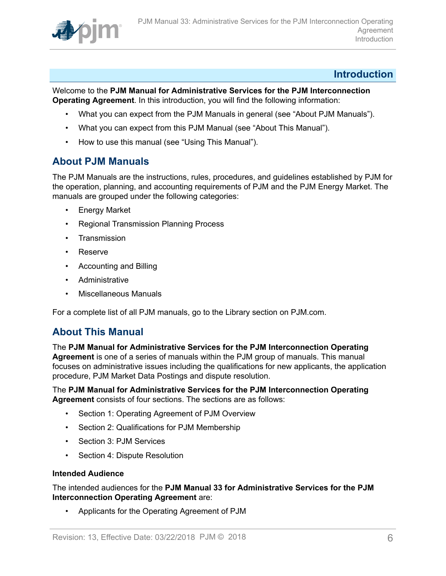

### <span id="page-5-0"></span>**Introduction**

Welcome to the **PJM Manual for Administrative Services for the PJM Interconnection Operating Agreement**. In this introduction, you will find the following information:

- What you can expect from the PJM Manuals in general (see "About PJM Manuals").
- What you can expect from this PJM Manual (see "About This Manual").
- How to use this manual (see "Using This Manual").

### <span id="page-5-1"></span>**About PJM Manuals**

The PJM Manuals are the instructions, rules, procedures, and guidelines established by PJM for the operation, planning, and accounting requirements of PJM and the PJM Energy Market. The manuals are grouped under the following categories:

- **Energy Market**
- Regional Transmission Planning Process
- Transmission
- Reserve
- Accounting and Billing
- Administrative
- Miscellaneous Manuals

For a complete list of all PJM manuals, go to the Library section on PJM.com.

### <span id="page-5-2"></span>**About This Manual**

The **PJM Manual for Administrative Services for the PJM Interconnection Operating Agreement** is one of a series of manuals within the PJM group of manuals. This manual focuses on administrative issues including the qualifications for new applicants, the application procedure, PJM Market Data Postings and dispute resolution.

#### The **PJM Manual for Administrative Services for the PJM Interconnection Operating Agreement** consists of four sections. The sections are as follows:

- Section 1: Operating Agreement of PJM Overview
- Section 2: Qualifications for PJM Membership
- Section 3: PJM Services
- Section 4: Dispute Resolution

#### **Intended Audience**

The intended audiences for the **PJM Manual 33 for Administrative Services for the PJM Interconnection Operating Agreement** are:

• Applicants for the Operating Agreement of PJM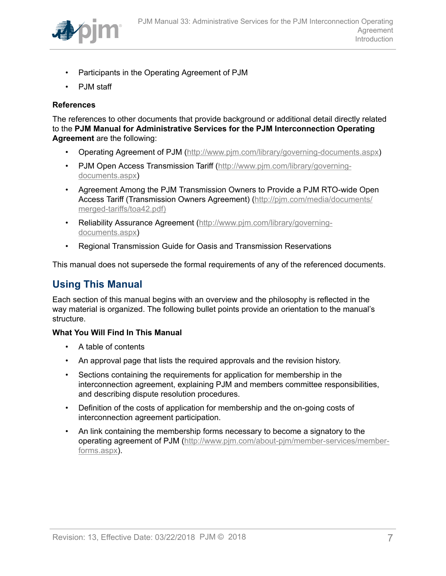

- Participants in the Operating Agreement of PJM
- PJM staff

### **References**

The references to other documents that provide background or additional detail directly related to the **PJM Manual for Administrative Services for the PJM Interconnection Operating Agreement** are the following:

- Operating Agreement of PJM (<http://www.pjm.com/library/governing-documents.aspx>)
- PJM Open Access Transmission Tariff ([http://www.pjm.com/library/governing](http://www.pjm.com/library/governing-documents.aspx)[documents.aspx\)](http://www.pjm.com/library/governing-documents.aspx)
- Agreement Among the PJM Transmission Owners to Provide a PJM RTO-wide Open Access Tariff (Transmission Owners Agreement) ([http://pjm.com/media/documents/](http://www.pjm.com/library/governing-documents.aspx) [merged-tariffs/toa42.pdf\)](http://www.pjm.com/library/governing-documents.aspx)
- Reliability Assurance Agreement [\(http://www.pjm.com/library/governing](http://www.pjm.com/library/governing-documents.aspx)[documents.aspx\)](http://www.pjm.com/library/governing-documents.aspx)
- Regional Transmission Guide for Oasis and Transmission Reservations

This manual does not supersede the formal requirements of any of the referenced documents.

## <span id="page-6-0"></span>**Using This Manual**

Each section of this manual begins with an overview and the philosophy is reflected in the way material is organized. The following bullet points provide an orientation to the manual's structure.

#### **What You Will Find In This Manual**

- A table of contents
- An approval page that lists the required approvals and the revision history.
- Sections containing the requirements for application for membership in the interconnection agreement, explaining PJM and members committee responsibilities, and describing dispute resolution procedures.
- Definition of the costs of application for membership and the on-going costs of interconnection agreement participation.
- An link containing the membership forms necessary to become a signatory to the operating agreement of PJM [\(http://www.pjm.com/about-pjm/member-services/member](http://www.pjm.com/about-pjm/member-services/member-forms.aspx)[forms.aspx](http://www.pjm.com/about-pjm/member-services/member-forms.aspx)).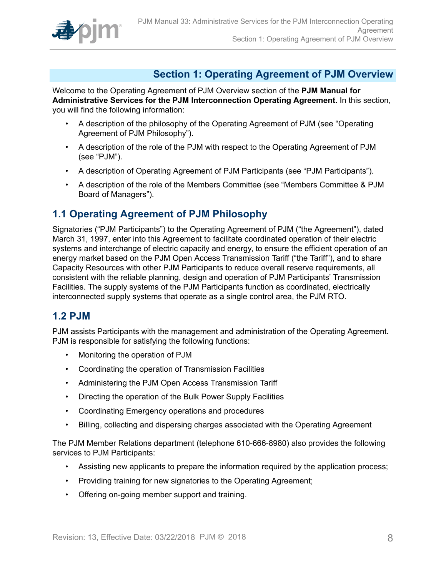

# <span id="page-7-0"></span>**Section 1: Operating Agreement of PJM Overview**

Welcome to the Operating Agreement of PJM Overview section of the **PJM Manual for Administrative Services for the PJM Interconnection Operating Agreement.** In this section, you will find the following information:

- A description of the philosophy of the Operating Agreement of PJM (see "Operating Agreement of PJM Philosophy").
- A description of the role of the PJM with respect to the Operating Agreement of PJM (see "PJM").
- A description of Operating Agreement of PJM Participants (see "PJM Participants").
- A description of the role of the Members Committee (see "Members Committee & PJM Board of Managers").

### <span id="page-7-1"></span>**1.1 Operating Agreement of PJM Philosophy**

Signatories ("PJM Participants") to the Operating Agreement of PJM ("the Agreement"), dated March 31, 1997, enter into this Agreement to facilitate coordinated operation of their electric systems and interchange of electric capacity and energy, to ensure the efficient operation of an energy market based on the PJM Open Access Transmission Tariff ("the Tariff"), and to share Capacity Resources with other PJM Participants to reduce overall reserve requirements, all consistent with the reliable planning, design and operation of PJM Participants' Transmission Facilities. The supply systems of the PJM Participants function as coordinated, electrically interconnected supply systems that operate as a single control area, the PJM RTO.

### <span id="page-7-2"></span>**1.2 PJM**

PJM assists Participants with the management and administration of the Operating Agreement. PJM is responsible for satisfying the following functions:

- Monitoring the operation of PJM
- Coordinating the operation of Transmission Facilities
- Administering the PJM Open Access Transmission Tariff
- Directing the operation of the Bulk Power Supply Facilities
- Coordinating Emergency operations and procedures
- Billing, collecting and dispersing charges associated with the Operating Agreement

The PJM Member Relations department (telephone 610-666-8980) also provides the following services to PJM Participants:

- Assisting new applicants to prepare the information required by the application process;
- Providing training for new signatories to the Operating Agreement;
- Offering on-going member support and training.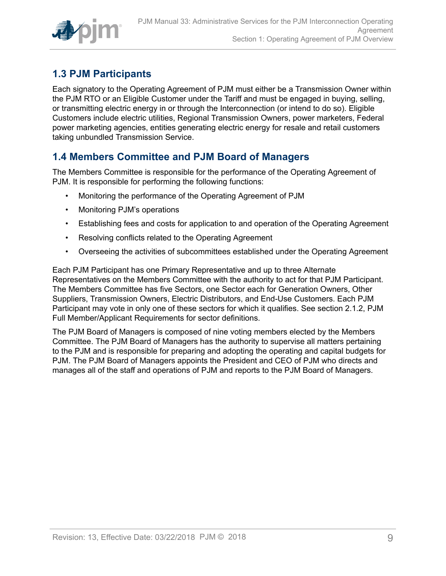

# <span id="page-8-0"></span>**1.3 PJM Participants**

Each signatory to the Operating Agreement of PJM must either be a Transmission Owner within the PJM RTO or an Eligible Customer under the Tariff and must be engaged in buying, selling, or transmitting electric energy in or through the Interconnection (or intend to do so). Eligible Customers include electric utilities, Regional Transmission Owners, power marketers, Federal power marketing agencies, entities generating electric energy for resale and retail customers taking unbundled Transmission Service.

# <span id="page-8-1"></span>**1.4 Members Committee and PJM Board of Managers**

The Members Committee is responsible for the performance of the Operating Agreement of PJM. It is responsible for performing the following functions:

- Monitoring the performance of the Operating Agreement of PJM
- Monitoring PJM's operations
- Establishing fees and costs for application to and operation of the Operating Agreement
- Resolving conflicts related to the Operating Agreement
- Overseeing the activities of subcommittees established under the Operating Agreement

Each PJM Participant has one Primary Representative and up to three Alternate Representatives on the Members Committee with the authority to act for that PJM Participant. The Members Committee has five Sectors, one Sector each for Generation Owners, Other Suppliers, Transmission Owners, Electric Distributors, and End-Use Customers. Each PJM Participant may vote in only one of these sectors for which it qualifies. See section 2.1.2, PJM Full Member/Applicant Requirements for sector definitions.

The PJM Board of Managers is composed of nine voting members elected by the Members Committee. The PJM Board of Managers has the authority to supervise all matters pertaining to the PJM and is responsible for preparing and adopting the operating and capital budgets for PJM. The PJM Board of Managers appoints the President and CEO of PJM who directs and manages all of the staff and operations of PJM and reports to the PJM Board of Managers.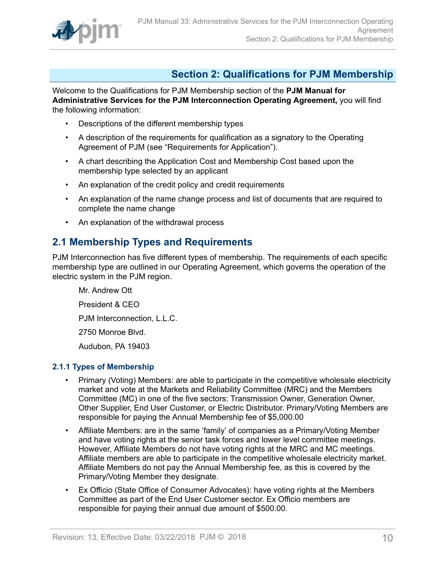

# <span id="page-9-0"></span>**Section 2: Qualifications for PJM Membership**

Welcome to the Qualifications for PJM Membership section of the **PJM Manual for Administrative Services for the PJM Interconnection Operating Agreement,** you will find the following information:

- Descriptions of the different membership types
- A description of the requirements for qualification as a signatory to the Operating Agreement of PJM (see "Requirements for Application").
- A chart describing the Application Cost and Membership Cost based upon the membership type selected by an applicant
- An explanation of the credit policy and credit requirements
- An explanation of the name change process and list of documents that are required to complete the name change
- An explanation of the withdrawal process

### <span id="page-9-1"></span>**2.1 Membership Types and Requirements**

PJM Interconnection has five different types of membership. The requirements of each specific membership type are outlined in our Operating Agreement, which governs the operation of the electric system in the PJM region.

Mr. Andrew Ott President & CEO PJM Interconnection, L.L.C. 2750 Monroe Blvd. Audubon, PA 19403

### <span id="page-9-2"></span>**2.1.1 Types of Membership**

- Primary (Voting) Members: are able to participate in the competitive wholesale electricity market and vote at the Markets and Reliability Committee (MRC) and the Members Committee (MC) in one of the five sectors: Transmission Owner, Generation Owner, Other Supplier, End User Customer, or Electric Distributor. Primary/Voting Members are responsible for paying the Annual Membership fee of \$5,000.00
- Affiliate Members: are in the same 'family' of companies as a Primary/Voting Member and have voting rights at the senior task forces and lower level committee meetings. However, Affiliate Members do not have voting rights at the MRC and MC meetings. Affiliate members are able to participate in the competitive wholesale electricity market. Affiliate Members do not pay the Annual Membership fee, as this is covered by the Primary/Voting Member they designate.
- Ex Officio (State Office of Consumer Advocates): have voting rights at the Members Committee as part of the End User Customer sector. Ex Officio members are responsible for paying their annual due amount of \$500.00.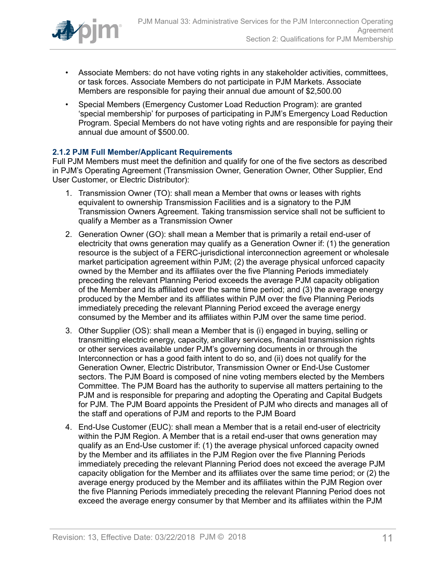

- Associate Members: do not have voting rights in any stakeholder activities, committees, or task forces. Associate Members do not participate in PJM Markets. Associate Members are responsible for paying their annual due amount of \$2,500.00
- Special Members (Emergency Customer Load Reduction Program): are granted 'special membership' for purposes of participating in PJM's Emergency Load Reduction Program. Special Members do not have voting rights and are responsible for paying their annual due amount of \$500.00.

### <span id="page-10-0"></span>**2.1.2 PJM Full Member/Applicant Requirements**

Full PJM Members must meet the definition and qualify for one of the five sectors as described in PJM's Operating Agreement (Transmission Owner, Generation Owner, Other Supplier, End User Customer, or Electric Distributor):

- 1. Transmission Owner (TO): shall mean a Member that owns or leases with rights equivalent to ownership Transmission Facilities and is a signatory to the PJM Transmission Owners Agreement. Taking transmission service shall not be sufficient to qualify a Member as a Transmission Owner
- 2. Generation Owner (GO): shall mean a Member that is primarily a retail end-user of electricity that owns generation may qualify as a Generation Owner if: (1) the generation resource is the subject of a FERC-jurisdictional interconnection agreement or wholesale market participation agreement within PJM; (2) the average physical unforced capacity owned by the Member and its affiliates over the five Planning Periods immediately preceding the relevant Planning Period exceeds the average PJM capacity obligation of the Member and its affiliated over the same time period; and (3) the average energy produced by the Member and its affiliates within PJM over the five Planning Periods immediately preceding the relevant Planning Period exceed the average energy consumed by the Member and its affiliates within PJM over the same time period.
- 3. Other Supplier (OS): shall mean a Member that is (i) engaged in buying, selling or transmitting electric energy, capacity, ancillary services, financial transmission rights or other services available under PJM's governing documents in or through the Interconnection or has a good faith intent to do so, and (ii) does not qualify for the Generation Owner, Electric Distributor, Transmission Owner or End-Use Customer sectors. The PJM Board is composed of nine voting members elected by the Members Committee. The PJM Board has the authority to supervise all matters pertaining to the PJM and is responsible for preparing and adopting the Operating and Capital Budgets for PJM. The PJM Board appoints the President of PJM who directs and manages all of the staff and operations of PJM and reports to the PJM Board
- 4. End-Use Customer (EUC): shall mean a Member that is a retail end-user of electricity within the PJM Region. A Member that is a retail end-user that owns generation may qualify as an End-Use customer if: (1) the average physical unforced capacity owned by the Member and its affiliates in the PJM Region over the five Planning Periods immediately preceding the relevant Planning Period does not exceed the average PJM capacity obligation for the Member and its affiliates over the same time period; or (2) the average energy produced by the Member and its affiliates within the PJM Region over the five Planning Periods immediately preceding the relevant Planning Period does not exceed the average energy consumer by that Member and its affiliates within the PJM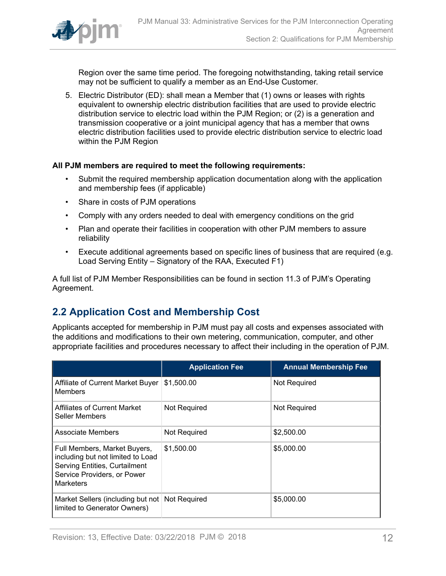

Region over the same time period. The foregoing notwithstanding, taking retail service may not be sufficient to qualify a member as an End-Use Customer.

5. Electric Distributor (ED): shall mean a Member that (1) owns or leases with rights equivalent to ownership electric distribution facilities that are used to provide electric distribution service to electric load within the PJM Region; or (2) is a generation and transmission cooperative or a joint municipal agency that has a member that owns electric distribution facilities used to provide electric distribution service to electric load within the PJM Region

#### **All PJM members are required to meet the following requirements:**

- Submit the required membership application documentation along with the application and membership fees (if applicable)
- Share in costs of PJM operations
- Comply with any orders needed to deal with emergency conditions on the grid
- Plan and operate their facilities in cooperation with other PJM members to assure reliability
- Execute additional agreements based on specific lines of business that are required (e.g. Load Serving Entity – Signatory of the RAA, Executed F1)

A full list of PJM Member Responsibilities can be found in section 11.3 of PJM's Operating Agreement.

### <span id="page-11-0"></span>**2.2 Application Cost and Membership Cost**

Applicants accepted for membership in PJM must pay all costs and expenses associated with the additions and modifications to their own metering, communication, computer, and other appropriate facilities and procedures necessary to affect their including in the operation of PJM.

|                                                                                                                                                              | <b>Application Fee</b> | <b>Annual Membership Fee</b> |
|--------------------------------------------------------------------------------------------------------------------------------------------------------------|------------------------|------------------------------|
| Affiliate of Current Market Buyer<br>Members                                                                                                                 | \$1,500.00             | <b>Not Required</b>          |
| <b>Affiliates of Current Market</b><br>Seller Members                                                                                                        | Not Required           | Not Required                 |
| Associate Members                                                                                                                                            | Not Required           | \$2,500.00                   |
| Full Members, Market Buyers,<br>including but not limited to Load<br><b>Serving Entities, Curtailment</b><br>Service Providers, or Power<br><b>Marketers</b> | \$1,500.00             | \$5,000.00                   |
| Market Sellers (including but not<br>limited to Generator Owners)                                                                                            | Not Required           | \$5,000.00                   |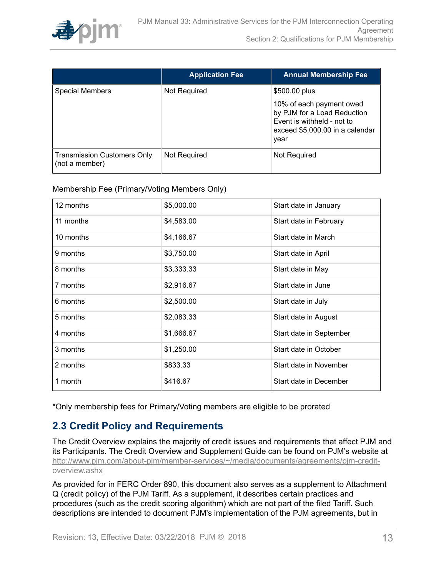

|                                                      | <b>Application Fee</b> | <b>Annual Membership Fee</b>                                                                                                     |
|------------------------------------------------------|------------------------|----------------------------------------------------------------------------------------------------------------------------------|
| <b>Special Members</b>                               | Not Required           | \$500.00 plus                                                                                                                    |
|                                                      |                        | 10% of each payment owed<br>by PJM for a Load Reduction<br>Event is withheld - not to<br>exceed \$5,000.00 in a calendar<br>year |
| <b>Transmission Customers Only</b><br>(not a member) | Not Required           | Not Required                                                                                                                     |

Membership Fee (Primary/Voting Members Only)

| 12 months | \$5,000.00 | Start date in January   |
|-----------|------------|-------------------------|
| 11 months | \$4,583.00 | Start date in February  |
| 10 months | \$4,166.67 | Start date in March     |
| 9 months  | \$3,750.00 | Start date in April     |
| 8 months  | \$3,333.33 | Start date in May       |
| 7 months  | \$2,916.67 | Start date in June      |
| 6 months  | \$2,500.00 | Start date in July      |
| 5 months  | \$2,083.33 | Start date in August    |
| 4 months  | \$1,666.67 | Start date in September |
| 3 months  | \$1,250.00 | Start date in October   |
| 2 months  | \$833.33   | Start date in November  |
| 1 month   | \$416.67   | Start date in December  |

\*Only membership fees for Primary/Voting members are eligible to be prorated

# <span id="page-12-0"></span>**2.3 Credit Policy and Requirements**

The Credit Overview explains the majority of credit issues and requirements that affect PJM and its Participants. The Credit Overview and Supplement Guide can be found on PJM's website at [http://www.pjm.com/about-pjm/member-services/~/media/documents/agreements/pjm-credit](http://www.pjm.com/about-pjm/member-services/~/media/documents/agreements/pjm-credit-overview.ashx)[overview.ashx](http://www.pjm.com/about-pjm/member-services/~/media/documents/agreements/pjm-credit-overview.ashx)

As provided for in FERC Order 890, this document also serves as a supplement to Attachment Q (credit policy) of the PJM Tariff. As a supplement, it describes certain practices and procedures (such as the credit scoring algorithm) which are not part of the filed Tariff. Such descriptions are intended to document PJM's implementation of the PJM agreements, but in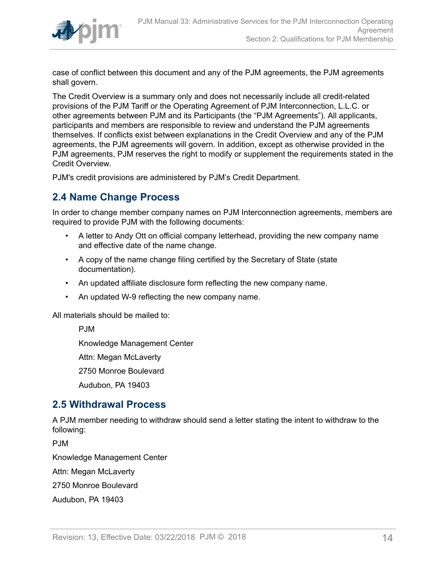

case of conflict between this document and any of the PJM agreements, the PJM agreements shall govern.

The Credit Overview is a summary only and does not necessarily include all credit-related provisions of the PJM Tariff or the Operating Agreement of PJM Interconnection, L.L.C. or other agreements between PJM and its Participants (the "PJM Agreements"). All applicants, participants and members are responsible to review and understand the PJM agreements themselves. If conflicts exist between explanations in the Credit Overview and any of the PJM agreements, the PJM agreements will govern. In addition, except as otherwise provided in the PJM agreements, PJM reserves the right to modify or supplement the requirements stated in the Credit Overview.

PJM's credit provisions are administered by PJM's Credit Department.

### <span id="page-13-0"></span>**2.4 Name Change Process**

In order to change member company names on PJM Interconnection agreements, members are required to provide PJM with the following documents:

- A letter to Andy Ott on official company letterhead, providing the new company name and effective date of the name change.
- A copy of the name change filing certified by the Secretary of State (state documentation).
- An updated affiliate disclosure form reflecting the new company name.
- An updated W-9 reflecting the new company name.

All materials should be mailed to:

PJM

Knowledge Management Center

Attn: Megan McLaverty

2750 Monroe Boulevard

Audubon, PA 19403

### <span id="page-13-1"></span>**2.5 Withdrawal Process**

A PJM member needing to withdraw should send a letter stating the intent to withdraw to the following:

P.IM

Knowledge Management Center

Attn: Megan McLaverty

2750 Monroe Boulevard

Audubon, PA 19403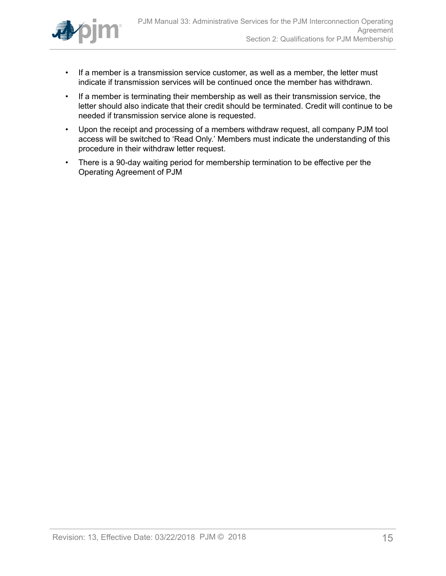

- If a member is a transmission service customer, as well as a member, the letter must indicate if transmission services will be continued once the member has withdrawn.
- If a member is terminating their membership as well as their transmission service, the letter should also indicate that their credit should be terminated. Credit will continue to be needed if transmission service alone is requested.
- Upon the receipt and processing of a members withdraw request, all company PJM tool access will be switched to 'Read Only.' Members must indicate the understanding of this procedure in their withdraw letter request.
- There is a 90-day waiting period for membership termination to be effective per the Operating Agreement of PJM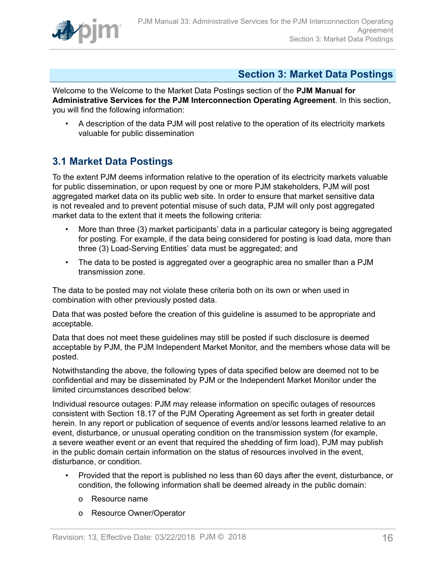

## <span id="page-15-0"></span>**Section 3: Market Data Postings**

Welcome to the Welcome to the Market Data Postings section of the **PJM Manual for Administrative Services for the PJM Interconnection Operating Agreement**. In this section, you will find the following information:

• A description of the data PJM will post relative to the operation of its electricity markets valuable for public dissemination

## <span id="page-15-1"></span>**3.1 Market Data Postings**

To the extent PJM deems information relative to the operation of its electricity markets valuable for public dissemination, or upon request by one or more PJM stakeholders, PJM will post aggregated market data on its public web site. In order to ensure that market sensitive data is not revealed and to prevent potential misuse of such data, PJM will only post aggregated market data to the extent that it meets the following criteria:

- More than three (3) market participants' data in a particular category is being aggregated for posting. For example, if the data being considered for posting is load data, more than three (3) Load-Serving Entities' data must be aggregated; and
- The data to be posted is aggregated over a geographic area no smaller than a PJM transmission zone.

The data to be posted may not violate these criteria both on its own or when used in combination with other previously posted data.

Data that was posted before the creation of this guideline is assumed to be appropriate and acceptable.

Data that does not meet these guidelines may still be posted if such disclosure is deemed acceptable by PJM, the PJM Independent Market Monitor, and the members whose data will be posted.

Notwithstanding the above, the following types of data specified below are deemed not to be confidential and may be disseminated by PJM or the Independent Market Monitor under the limited circumstances described below:

Individual resource outages: PJM may release information on specific outages of resources consistent with Section 18.17 of the PJM Operating Agreement as set forth in greater detail herein. In any report or publication of sequence of events and/or lessons learned relative to an event, disturbance, or unusual operating condition on the transmission system (for example, a severe weather event or an event that required the shedding of firm load), PJM may publish in the public domain certain information on the status of resources involved in the event, disturbance, or condition.

- Provided that the report is published no less than 60 days after the event, disturbance, or condition, the following information shall be deemed already in the public domain:
	- o Resource name
	- o Resource Owner/Operator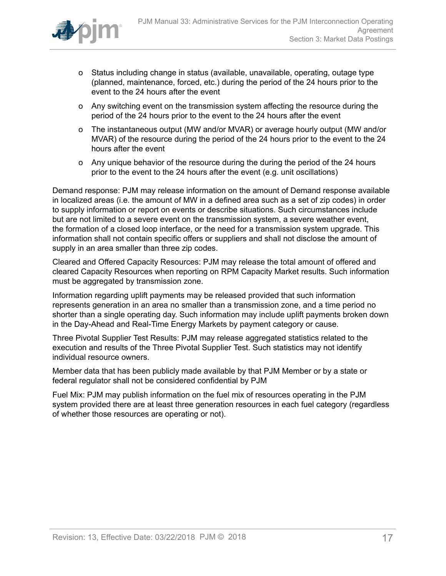

- o Status including change in status (available, unavailable, operating, outage type (planned, maintenance, forced, etc.) during the period of the 24 hours prior to the event to the 24 hours after the event
- o Any switching event on the transmission system affecting the resource during the period of the 24 hours prior to the event to the 24 hours after the event
- o The instantaneous output (MW and/or MVAR) or average hourly output (MW and/or MVAR) of the resource during the period of the 24 hours prior to the event to the 24 hours after the event
- o Any unique behavior of the resource during the during the period of the 24 hours prior to the event to the 24 hours after the event (e.g. unit oscillations)

Demand response: PJM may release information on the amount of Demand response available in localized areas (i.e. the amount of MW in a defined area such as a set of zip codes) in order to supply information or report on events or describe situations. Such circumstances include but are not limited to a severe event on the transmission system, a severe weather event, the formation of a closed loop interface, or the need for a transmission system upgrade. This information shall not contain specific offers or suppliers and shall not disclose the amount of supply in an area smaller than three zip codes.

Cleared and Offered Capacity Resources: PJM may release the total amount of offered and cleared Capacity Resources when reporting on RPM Capacity Market results. Such information must be aggregated by transmission zone.

Information regarding uplift payments may be released provided that such information represents generation in an area no smaller than a transmission zone, and a time period no shorter than a single operating day. Such information may include uplift payments broken down in the Day-Ahead and Real-Time Energy Markets by payment category or cause.

Three Pivotal Supplier Test Results: PJM may release aggregated statistics related to the execution and results of the Three Pivotal Supplier Test. Such statistics may not identify individual resource owners.

Member data that has been publicly made available by that PJM Member or by a state or federal regulator shall not be considered confidential by PJM

Fuel Mix: PJM may publish information on the fuel mix of resources operating in the PJM system provided there are at least three generation resources in each fuel category (regardless of whether those resources are operating or not).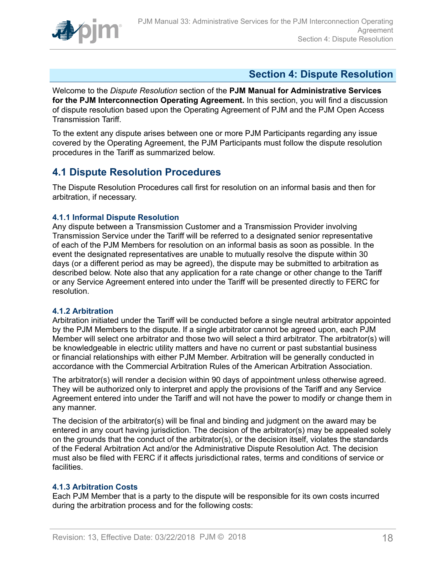

## <span id="page-17-0"></span>**Section 4: Dispute Resolution**

Welcome to the *Dispute Resolution* section of the **PJM Manual for Administrative Services for the PJM Interconnection Operating Agreement.** In this section, you will find a discussion of dispute resolution based upon the Operating Agreement of PJM and the PJM Open Access Transmission Tariff.

To the extent any dispute arises between one or more PJM Participants regarding any issue covered by the Operating Agreement, the PJM Participants must follow the dispute resolution procedures in the Tariff as summarized below.

## <span id="page-17-1"></span>**4.1 Dispute Resolution Procedures**

The Dispute Resolution Procedures call first for resolution on an informal basis and then for arbitration, if necessary.

### <span id="page-17-2"></span>**4.1.1 Informal Dispute Resolution**

Any dispute between a Transmission Customer and a Transmission Provider involving Transmission Service under the Tariff will be referred to a designated senior representative of each of the PJM Members for resolution on an informal basis as soon as possible. In the event the designated representatives are unable to mutually resolve the dispute within 30 days (or a different period as may be agreed), the dispute may be submitted to arbitration as described below. Note also that any application for a rate change or other change to the Tariff or any Service Agreement entered into under the Tariff will be presented directly to FERC for resolution.

#### <span id="page-17-3"></span>**4.1.2 Arbitration**

Arbitration initiated under the Tariff will be conducted before a single neutral arbitrator appointed by the PJM Members to the dispute. If a single arbitrator cannot be agreed upon, each PJM Member will select one arbitrator and those two will select a third arbitrator. The arbitrator(s) will be knowledgeable in electric utility matters and have no current or past substantial business or financial relationships with either PJM Member. Arbitration will be generally conducted in accordance with the Commercial Arbitration Rules of the American Arbitration Association.

The arbitrator(s) will render a decision within 90 days of appointment unless otherwise agreed. They will be authorized only to interpret and apply the provisions of the Tariff and any Service Agreement entered into under the Tariff and will not have the power to modify or change them in any manner.

The decision of the arbitrator(s) will be final and binding and judgment on the award may be entered in any court having jurisdiction. The decision of the arbitrator(s) may be appealed solely on the grounds that the conduct of the arbitrator(s), or the decision itself, violates the standards of the Federal Arbitration Act and/or the Administrative Dispute Resolution Act. The decision must also be filed with FERC if it affects jurisdictional rates, terms and conditions of service or facilities.

### <span id="page-17-4"></span>**4.1.3 Arbitration Costs**

Each PJM Member that is a party to the dispute will be responsible for its own costs incurred during the arbitration process and for the following costs: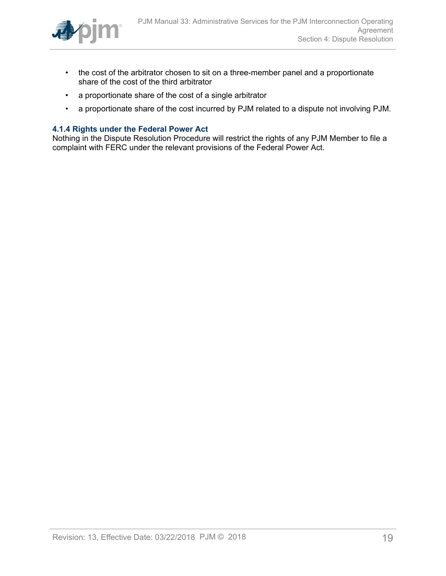

- the cost of the arbitrator chosen to sit on a three-member panel and a proportionate share of the cost of the third arbitrator
- a proportionate share of the cost of a single arbitrator
- a proportionate share of the cost incurred by PJM related to a dispute not involving PJM.

#### <span id="page-18-0"></span>**4.1.4 Rights under the Federal Power Act**

Nothing in the Dispute Resolution Procedure will restrict the rights of any PJM Member to file a complaint with FERC under the relevant provisions of the Federal Power Act.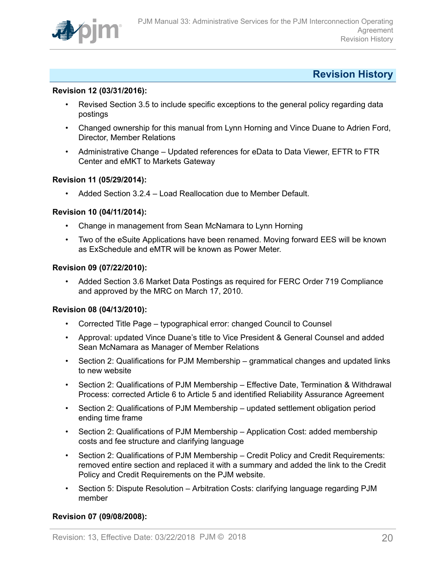

### <span id="page-19-0"></span>**Revision History**

#### **Revision 12 (03/31/2016):**

- Revised Section 3.5 to include specific exceptions to the general policy regarding data postings
- Changed ownership for this manual from Lynn Horning and Vince Duane to Adrien Ford, Director, Member Relations
- Administrative Change Updated references for eData to Data Viewer, EFTR to FTR Center and eMKT to Markets Gateway

#### **Revision 11 (05/29/2014):**

• Added Section 3.2.4 – Load Reallocation due to Member Default.

#### **Revision 10 (04/11/2014):**

- Change in management from Sean McNamara to Lynn Horning
- Two of the eSuite Applications have been renamed. Moving forward EES will be known as ExSchedule and eMTR will be known as Power Meter.

### **Revision 09 (07/22/2010):**

• Added Section 3.6 Market Data Postings as required for FERC Order 719 Compliance and approved by the MRC on March 17, 2010.

#### **Revision 08 (04/13/2010):**

- Corrected Title Page typographical error: changed Council to Counsel
- Approval: updated Vince Duane's title to Vice President & General Counsel and added Sean McNamara as Manager of Member Relations
- Section 2: Qualifications for PJM Membership grammatical changes and updated links to new website
- Section 2: Qualifications of PJM Membership Effective Date, Termination & Withdrawal Process: corrected Article 6 to Article 5 and identified Reliability Assurance Agreement
- Section 2: Qualifications of PJM Membership updated settlement obligation period ending time frame
- Section 2: Qualifications of PJM Membership Application Cost: added membership costs and fee structure and clarifying language
- Section 2: Qualifications of PJM Membership Credit Policy and Credit Requirements: removed entire section and replaced it with a summary and added the link to the Credit Policy and Credit Requirements on the PJM website.
- Section 5: Dispute Resolution Arbitration Costs: clarifying language regarding PJM member

#### **Revision 07 (09/08/2008):**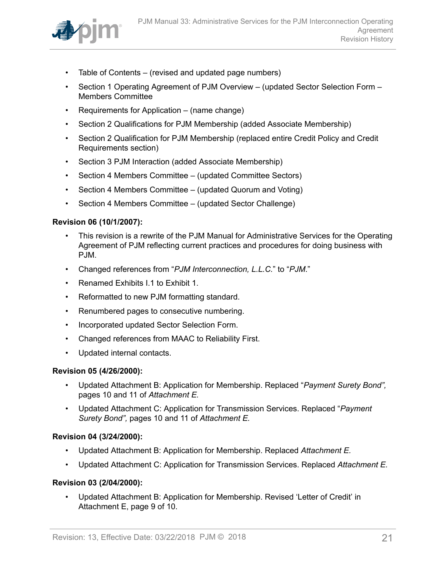

- Table of Contents (revised and updated page numbers)
- Section 1 Operating Agreement of PJM Overview (updated Sector Selection Form Members Committee
- Requirements for Application (name change)
- Section 2 Qualifications for PJM Membership (added Associate Membership)
- Section 2 Qualification for PJM Membership (replaced entire Credit Policy and Credit Requirements section)
- Section 3 PJM Interaction (added Associate Membership)
- Section 4 Members Committee (updated Committee Sectors)
- Section 4 Members Committee (updated Quorum and Voting)
- Section 4 Members Committee (updated Sector Challenge)

#### **Revision 06 (10/1/2007):**

- This revision is a rewrite of the PJM Manual for Administrative Services for the Operating Agreement of PJM reflecting current practices and procedures for doing business with PJM.
- Changed references from "*PJM Interconnection, L.L.C.*" to "*PJM*."
- Renamed Exhibits I.1 to Exhibit 1.
- Reformatted to new PJM formatting standard.
- Renumbered pages to consecutive numbering.
- Incorporated updated Sector Selection Form.
- Changed references from MAAC to Reliability First.
- Updated internal contacts.

#### **Revision 05 (4/26/2000):**

- Updated Attachment B: Application for Membership. Replaced "*Payment Surety Bond",* pages 10 and 11 of *Attachment E.*
- Updated Attachment C: Application for Transmission Services. Replaced "*Payment Surety Bond",* pages 10 and 11 of *Attachment E.*

#### **Revision 04 (3/24/2000):**

- Updated Attachment B: Application for Membership. Replaced *Attachment E.*
- Updated Attachment C: Application for Transmission Services. Replaced *Attachment E.*

#### **Revision 03 (2/04/2000):**

• Updated Attachment B: Application for Membership. Revised 'Letter of Credit' in Attachment E, page 9 of 10.